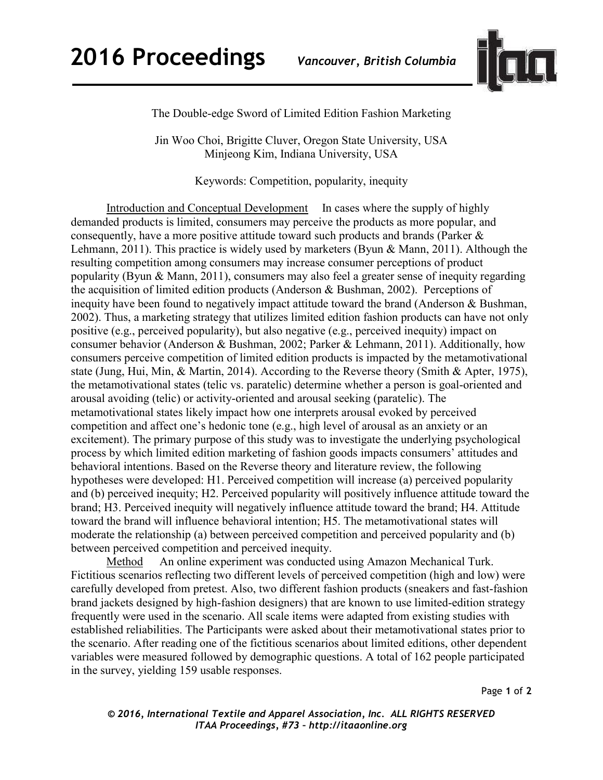

The Double-edge Sword of Limited Edition Fashion Marketing

Jin Woo Choi, Brigitte Cluver, Oregon State University, USA Minjeong Kim, Indiana University, USA

Keywords: Competition, popularity, inequity

Introduction and Conceptual Development In cases where the supply of highly demanded products is limited, consumers may perceive the products as more popular, and consequently, have a more positive attitude toward such products and brands (Parker & Lehmann, 2011). This practice is widely used by marketers (Byun & Mann, 2011). Although the resulting competition among consumers may increase consumer perceptions of product popularity (Byun & Mann, 2011), consumers may also feel a greater sense of inequity regarding the acquisition of limited edition products (Anderson & Bushman, 2002). Perceptions of inequity have been found to negatively impact attitude toward the brand (Anderson & Bushman, 2002). Thus, a marketing strategy that utilizes limited edition fashion products can have not only positive (e.g., perceived popularity), but also negative (e.g., perceived inequity) impact on consumer behavior (Anderson & Bushman, 2002; Parker & Lehmann, 2011). Additionally, how consumers perceive competition of limited edition products is impacted by the metamotivational state (Jung, Hui, Min, & Martin, 2014). According to the Reverse theory (Smith & Apter, 1975), the metamotivational states (telic vs. paratelic) determine whether a person is goal-oriented and arousal avoiding (telic) or activity-oriented and arousal seeking (paratelic). The metamotivational states likely impact how one interprets arousal evoked by perceived competition and affect one's hedonic tone (e.g., high level of arousal as an anxiety or an excitement). The primary purpose of this study was to investigate the underlying psychological process by which limited edition marketing of fashion goods impacts consumers' attitudes and behavioral intentions. Based on the Reverse theory and literature review, the following hypotheses were developed: H1. Perceived competition will increase (a) perceived popularity and (b) perceived inequity; H2. Perceived popularity will positively influence attitude toward the brand; H3. Perceived inequity will negatively influence attitude toward the brand; H4. Attitude toward the brand will influence behavioral intention; H5. The metamotivational states will moderate the relationship (a) between perceived competition and perceived popularity and (b) between perceived competition and perceived inequity.

Method An online experiment was conducted using Amazon Mechanical Turk. Fictitious scenarios reflecting two different levels of perceived competition (high and low) were carefully developed from pretest. Also, two different fashion products (sneakers and fast-fashion brand jackets designed by high-fashion designers) that are known to use limited-edition strategy frequently were used in the scenario. All scale items were adapted from existing studies with established reliabilities. The Participants were asked about their metamotivational states prior to the scenario. After reading one of the fictitious scenarios about limited editions, other dependent variables were measured followed by demographic questions. A total of 162 people participated in the survey, yielding 159 usable responses.

Page **1** of **2** 

*© 2016, International Textile and Apparel Association, Inc. ALL RIGHTS RESERVED ITAA Proceedings, #73 – http://itaaonline.org*